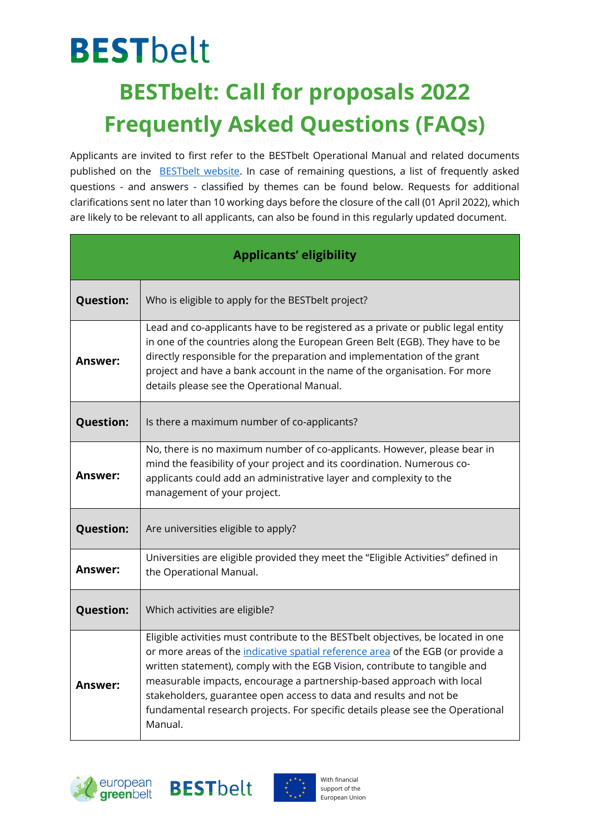## **BESTbelt BESTbelt: Call for proposals 2022 Frequently Asked Questions (FAQs)**

Applicants are invited to first refer to the BESTbelt Operational Manual and related documents published on the [BESTbelt](https://www.europeangreenbelt.org/best-belt/) website. In case of remaining questions, a list of frequently asked questions - and answers - classified by themes can be found below. Requests for additional clarifications sent no later than 10 working days before the closure of the call (01 April 2022), which are likely to be relevant to all applicants, can also be found in this regularly updated document.

| <b>Applicants' eligibility</b> |                                                                                                                                                                                                                                                                                                                                                                                                                                                                                                |  |
|--------------------------------|------------------------------------------------------------------------------------------------------------------------------------------------------------------------------------------------------------------------------------------------------------------------------------------------------------------------------------------------------------------------------------------------------------------------------------------------------------------------------------------------|--|
| <b>Question:</b>               | Who is eligible to apply for the BESTbelt project?                                                                                                                                                                                                                                                                                                                                                                                                                                             |  |
| Answer:                        | Lead and co-applicants have to be registered as a private or public legal entity<br>in one of the countries along the European Green Belt (EGB). They have to be<br>directly responsible for the preparation and implementation of the grant<br>project and have a bank account in the name of the organisation. For more<br>details please see the Operational Manual.                                                                                                                        |  |
| <b>Question:</b>               | Is there a maximum number of co-applicants?                                                                                                                                                                                                                                                                                                                                                                                                                                                    |  |
| Answer:                        | No, there is no maximum number of co-applicants. However, please bear in<br>mind the feasibility of your project and its coordination. Numerous co-<br>applicants could add an administrative layer and complexity to the<br>management of your project.                                                                                                                                                                                                                                       |  |
| <b>Question:</b>               | Are universities eligible to apply?                                                                                                                                                                                                                                                                                                                                                                                                                                                            |  |
| Answer:                        | Universities are eligible provided they meet the "Eligible Activities" defined in<br>the Operational Manual.                                                                                                                                                                                                                                                                                                                                                                                   |  |
| <b>Question:</b>               | Which activities are eligible?                                                                                                                                                                                                                                                                                                                                                                                                                                                                 |  |
| Answer:                        | Eligible activities must contribute to the BESTbelt objectives, be located in one<br>or more areas of the indicative spatial reference area of the EGB (or provide a<br>written statement), comply with the EGB Vision, contribute to tangible and<br>measurable impacts, encourage a partnership-based approach with local<br>stakeholders, guarantee open access to data and results and not be<br>fundamental research projects. For specific details please see the Operational<br>Manual. |  |





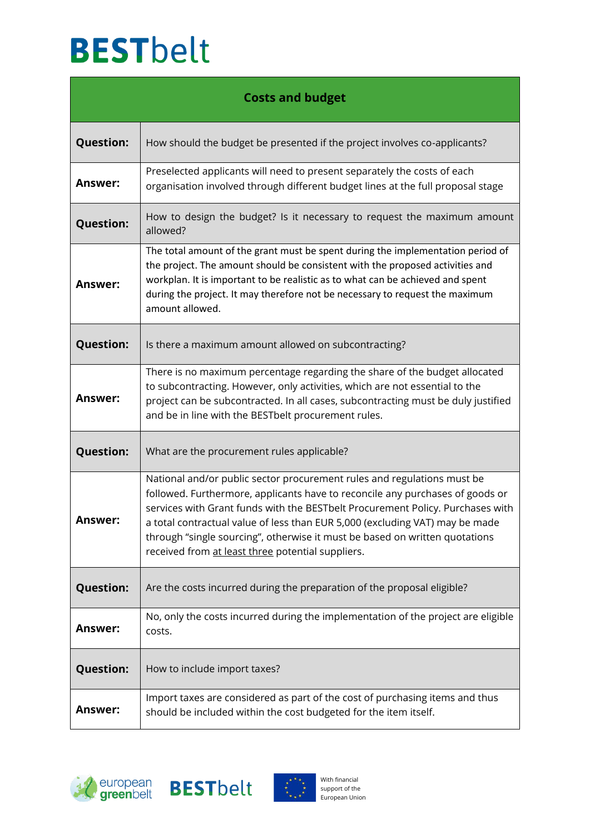## **BESTbelt**

| <b>Costs and budget</b> |                                                                                                                                                                                                                                                                                                                                                                                                                                                                |  |
|-------------------------|----------------------------------------------------------------------------------------------------------------------------------------------------------------------------------------------------------------------------------------------------------------------------------------------------------------------------------------------------------------------------------------------------------------------------------------------------------------|--|
| <b>Question:</b>        | How should the budget be presented if the project involves co-applicants?                                                                                                                                                                                                                                                                                                                                                                                      |  |
| <b>Answer:</b>          | Preselected applicants will need to present separately the costs of each<br>organisation involved through different budget lines at the full proposal stage                                                                                                                                                                                                                                                                                                    |  |
| <b>Question:</b>        | How to design the budget? Is it necessary to request the maximum amount<br>allowed?                                                                                                                                                                                                                                                                                                                                                                            |  |
| Answer:                 | The total amount of the grant must be spent during the implementation period of<br>the project. The amount should be consistent with the proposed activities and<br>workplan. It is important to be realistic as to what can be achieved and spent<br>during the project. It may therefore not be necessary to request the maximum<br>amount allowed.                                                                                                          |  |
| <b>Question:</b>        | Is there a maximum amount allowed on subcontracting?                                                                                                                                                                                                                                                                                                                                                                                                           |  |
| <b>Answer:</b>          | There is no maximum percentage regarding the share of the budget allocated<br>to subcontracting. However, only activities, which are not essential to the<br>project can be subcontracted. In all cases, subcontracting must be duly justified<br>and be in line with the BESTbelt procurement rules.                                                                                                                                                          |  |
| <b>Question:</b>        | What are the procurement rules applicable?                                                                                                                                                                                                                                                                                                                                                                                                                     |  |
| Answer:                 | National and/or public sector procurement rules and regulations must be<br>followed. Furthermore, applicants have to reconcile any purchases of goods or<br>services with Grant funds with the BESTbelt Procurement Policy. Purchases with<br>a total contractual value of less than EUR 5,000 (excluding VAT) may be made<br>through "single sourcing", otherwise it must be based on written quotations<br>received from at least three potential suppliers. |  |
| <b>Question:</b>        | Are the costs incurred during the preparation of the proposal eligible?                                                                                                                                                                                                                                                                                                                                                                                        |  |
| Answer:                 | No, only the costs incurred during the implementation of the project are eligible<br>costs.                                                                                                                                                                                                                                                                                                                                                                    |  |
| <b>Question:</b>        | How to include import taxes?                                                                                                                                                                                                                                                                                                                                                                                                                                   |  |
| Answer:                 | Import taxes are considered as part of the cost of purchasing items and thus<br>should be included within the cost budgeted for the item itself.                                                                                                                                                                                                                                                                                                               |  |